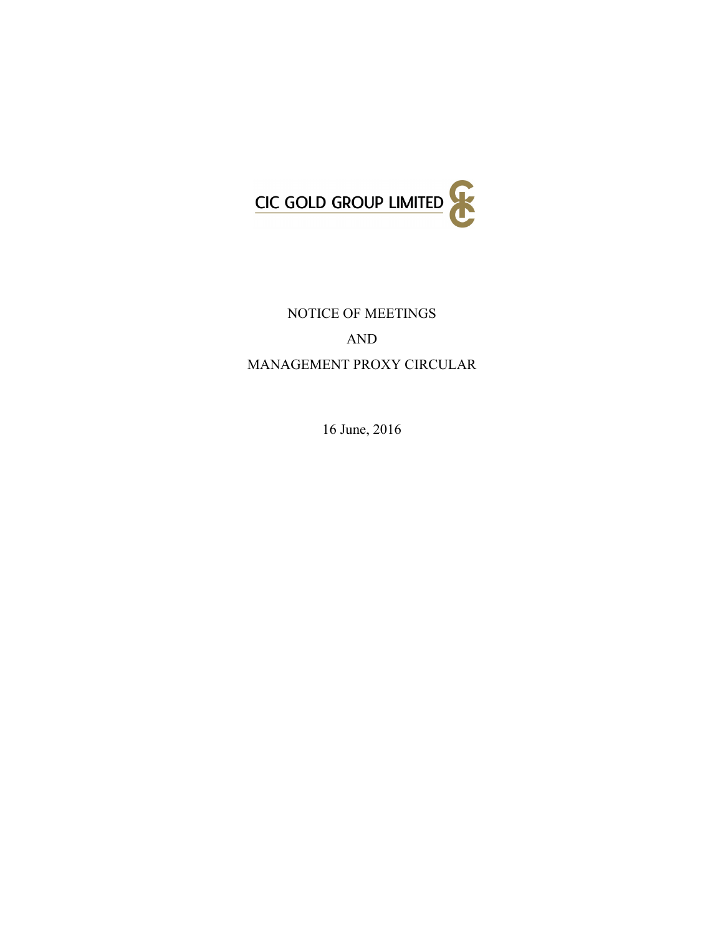

# NOTICE OF MEETINGS AND MANAGEMENT PROXY CIRCULAR

16 June, 2016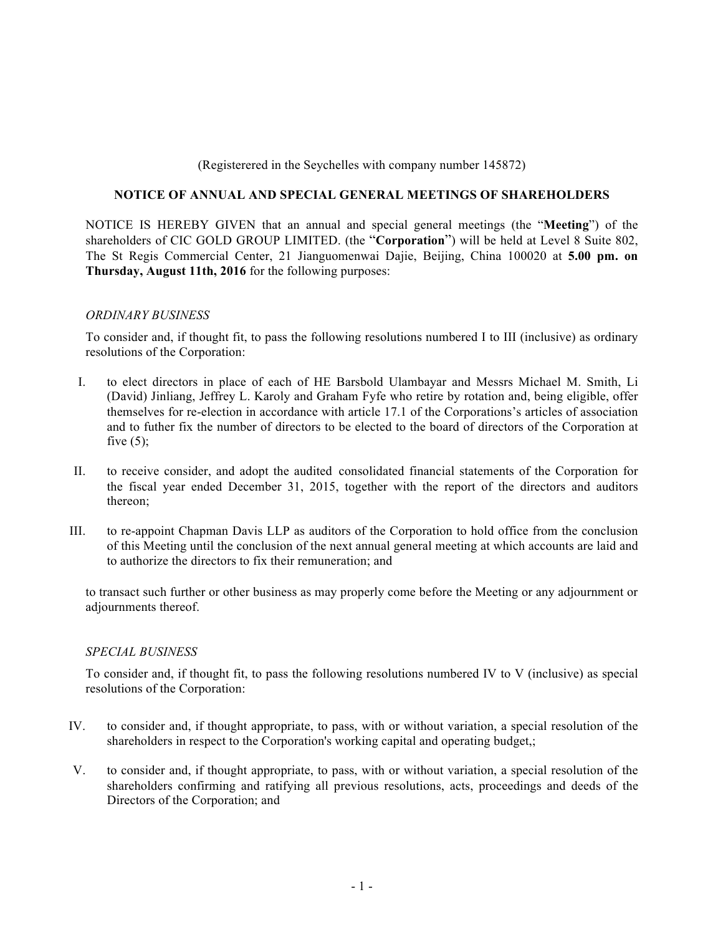## (Registerered in the Seychelles with company number 145872)

## **NOTICE OF ANNUAL AND SPECIAL GENERAL MEETINGS OF SHAREHOLDERS**

NOTICE IS HEREBY GIVEN that an annual and special general meetings (the "**Meeting**") of the shareholders of CIC GOLD GROUP LIMITED. (the "**Corporation**") will be held at Level 8 Suite 802, The St Regis Commercial Center, 21 Jianguomenwai Dajie, Beijing, China 100020 at **5.00 pm. on Thursday, August 11th, 2016** for the following purposes:

#### *ORDINARY BUSINESS*

To consider and, if thought fit, to pass the following resolutions numbered I to III (inclusive) as ordinary resolutions of the Corporation:

- I. to elect directors in place of each of HE Barsbold Ulambayar and Messrs Michael M. Smith, Li (David) Jinliang, Jeffrey L. Karoly and Graham Fyfe who retire by rotation and, being eligible, offer themselves for re-election in accordance with article 17.1 of the Corporations's articles of association and to futher fix the number of directors to be elected to the board of directors of the Corporation at five  $(5)$ ;
- II. to receive consider, and adopt the audited consolidated financial statements of the Corporation for the fiscal year ended December 31, 2015, together with the report of the directors and auditors thereon;
- III. to re-appoint Chapman Davis LLP as auditors of the Corporation to hold office from the conclusion of this Meeting until the conclusion of the next annual general meeting at which accounts are laid and to authorize the directors to fix their remuneration; and

to transact such further or other business as may properly come before the Meeting or any adjournment or adjournments thereof.

#### *SPECIAL BUSINESS*

To consider and, if thought fit, to pass the following resolutions numbered IV to V (inclusive) as special resolutions of the Corporation:

- IV. to consider and, if thought appropriate, to pass, with or without variation, a special resolution of the shareholders in respect to the Corporation's working capital and operating budget,;
- V. to consider and, if thought appropriate, to pass, with or without variation, a special resolution of the shareholders confirming and ratifying all previous resolutions, acts, proceedings and deeds of the Directors of the Corporation; and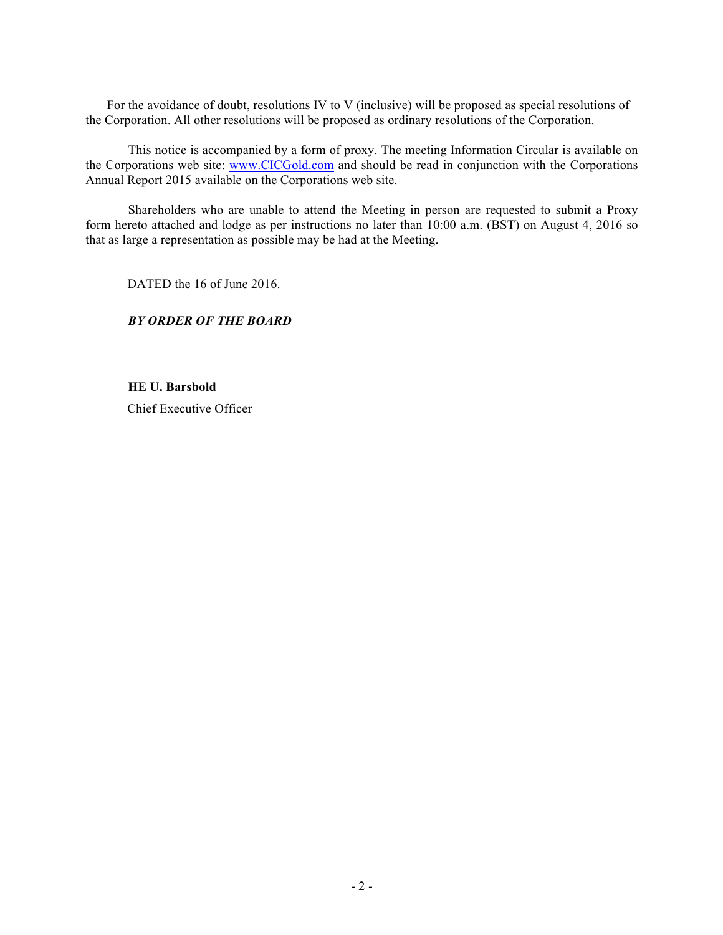For the avoidance of doubt, resolutions IV to V (inclusive) will be proposed as special resolutions of the Corporation. All other resolutions will be proposed as ordinary resolutions of the Corporation.

This notice is accompanied by a form of proxy. The meeting Information Circular is available on the Corporations web site: www.CICGold.com and should be read in conjunction with the Corporations Annual Report 2015 available on the Corporations web site.

Shareholders who are unable to attend the Meeting in person are requested to submit a Proxy form hereto attached and lodge as per instructions no later than 10:00 a.m. (BST) on August 4, 2016 so that as large a representation as possible may be had at the Meeting.

DATED the 16 of June 2016.

## *BY ORDER OF THE BOARD*

**HE U. Barsbold** Chief Executive Officer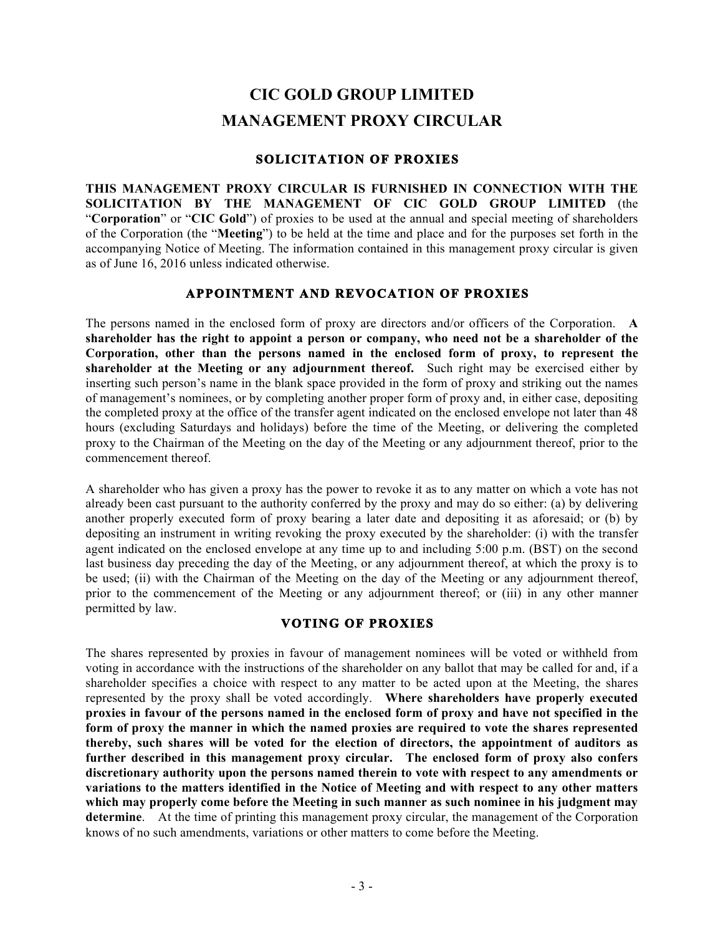# **CIC GOLD GROUP LIMITED MANAGEMENT PROXY CIRCULAR**

# **SOLICITATION OF PROXIES**

**THIS MANAGEMENT PROXY CIRCULAR IS FURNISHED IN CONNECTION WITH THE SOLICITATION BY THE MANAGEMENT OF CIC GOLD GROUP LIMITED** (the "**Corporation**" or "**CIC Gold**") of proxies to be used at the annual and special meeting of shareholders of the Corporation (the "**Meeting**") to be held at the time and place and for the purposes set forth in the accompanying Notice of Meeting. The information contained in this management proxy circular is given as of June 16, 2016 unless indicated otherwise.

# **APPOINTMENT AND REVOCATION OF PROXIES**

The persons named in the enclosed form of proxy are directors and/or officers of the Corporation. **A shareholder has the right to appoint a person or company, who need not be a shareholder of the Corporation, other than the persons named in the enclosed form of proxy, to represent the shareholder at the Meeting or any adjournment thereof.** Such right may be exercised either by inserting such person's name in the blank space provided in the form of proxy and striking out the names of management's nominees, or by completing another proper form of proxy and, in either case, depositing the completed proxy at the office of the transfer agent indicated on the enclosed envelope not later than 48 hours (excluding Saturdays and holidays) before the time of the Meeting, or delivering the completed proxy to the Chairman of the Meeting on the day of the Meeting or any adjournment thereof, prior to the commencement thereof.

A shareholder who has given a proxy has the power to revoke it as to any matter on which a vote has not already been cast pursuant to the authority conferred by the proxy and may do so either: (a) by delivering another properly executed form of proxy bearing a later date and depositing it as aforesaid; or (b) by depositing an instrument in writing revoking the proxy executed by the shareholder: (i) with the transfer agent indicated on the enclosed envelope at any time up to and including 5:00 p.m. (BST) on the second last business day preceding the day of the Meeting, or any adjournment thereof, at which the proxy is to be used; (ii) with the Chairman of the Meeting on the day of the Meeting or any adjournment thereof, prior to the commencement of the Meeting or any adjournment thereof; or (iii) in any other manner permitted by law.

# **VOTING OF PROXIES**

The shares represented by proxies in favour of management nominees will be voted or withheld from voting in accordance with the instructions of the shareholder on any ballot that may be called for and, if a shareholder specifies a choice with respect to any matter to be acted upon at the Meeting, the shares represented by the proxy shall be voted accordingly. **Where shareholders have properly executed proxies in favour of the persons named in the enclosed form of proxy and have not specified in the form of proxy the manner in which the named proxies are required to vote the shares represented thereby, such shares will be voted for the election of directors, the appointment of auditors as further described in this management proxy circular. The enclosed form of proxy also confers discretionary authority upon the persons named therein to vote with respect to any amendments or variations to the matters identified in the Notice of Meeting and with respect to any other matters which may properly come before the Meeting in such manner as such nominee in his judgment may determine**. At the time of printing this management proxy circular, the management of the Corporation knows of no such amendments, variations or other matters to come before the Meeting.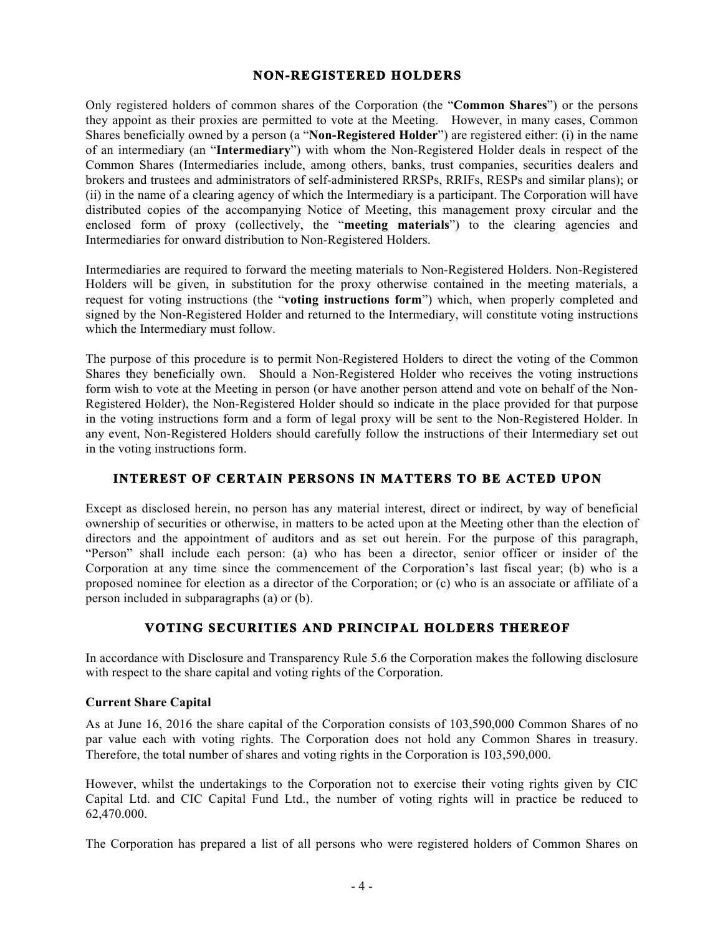## **NON-REGISTERED HOLDERS**

Only registered holders of common shares of the Corporation (the "**Common Shares**") or the persons they appoint as their proxies are permitted to vote at the Meeting. However, in many cases, Common Shares beneficially owned by a person (a "**Non-Registered Holder**") are registered either: (i) in the name of an intermediary (an "**Intermediary**") with whom the Non-Registered Holder deals in respect of the Common Shares (Intermediaries include, among others, banks, trust companies, securities dealers and brokers and trustees and administrators of self-administered RRSPs, RRIFs, RESPs and similar plans); or (ii) in the name of a clearing agency of which the Intermediary is a participant. The Corporation will have distributed copies of the accompanying Notice of Meeting, this management proxy circular and the enclosed form of proxy (collectively, the "**meeting materials**") to the clearing agencies and Intermediaries for onward distribution to Non-Registered Holders.

Intermediaries are required to forward the meeting materials to Non-Registered Holders. Non-Registered Holders will be given, in substitution for the proxy otherwise contained in the meeting materials, a request for voting instructions (the "**voting instructions form**") which, when properly completed and signed by the Non-Registered Holder and returned to the Intermediary, will constitute voting instructions which the Intermediary must follow.

The purpose of this procedure is to permit Non-Registered Holders to direct the voting of the Common Shares they beneficially own. Should a Non-Registered Holder who receives the voting instructions form wish to vote at the Meeting in person (or have another person attend and vote on behalf of the Non-Registered Holder), the Non-Registered Holder should so indicate in the place provided for that purpose in the voting instructions form and a form of legal proxy will be sent to the Non-Registered Holder. In any event, Non-Registered Holders should carefully follow the instructions of their Intermediary set out in the voting instructions form.

# **INTEREST OF CERTAIN PERSONS IN MATTERS TO BE ACTED UPON**

Except as disclosed herein, no person has any material interest, direct or indirect, by way of beneficial ownership of securities or otherwise, in matters to be acted upon at the Meeting other than the election of directors and the appointment of auditors and as set out herein. For the purpose of this paragraph, "Person" shall include each person: (a) who has been a director, senior officer or insider of the Corporation at any time since the commencement of the Corporation's last fiscal year; (b) who is a proposed nominee for election as a director of the Corporation; or (c) who is an associate or affiliate of a person included in subparagraphs (a) or (b).

# **VOTING SECURITIES AND PRINCIPAL HOLDERS THEREOF**

In accordance with Disclosure and Transparency Rule 5.6 the Corporation makes the following disclosure with respect to the share capital and voting rights of the Corporation.

## **Current Share Capital**

As at June 16, 2016 the share capital of the Corporation consists of 103,590,000 Common Shares of no par value each with voting rights. The Corporation does not hold any Common Shares in treasury. Therefore, the total number of shares and voting rights in the Corporation is 103,590,000.

However, whilst the undertakings to the Corporation not to exercise their voting rights given by CIC Capital Ltd. and CIC Capital Fund Ltd., the number of voting rights will in practice be reduced to 62,470.000.

The Corporation has prepared a list of all persons who were registered holders of Common Shares on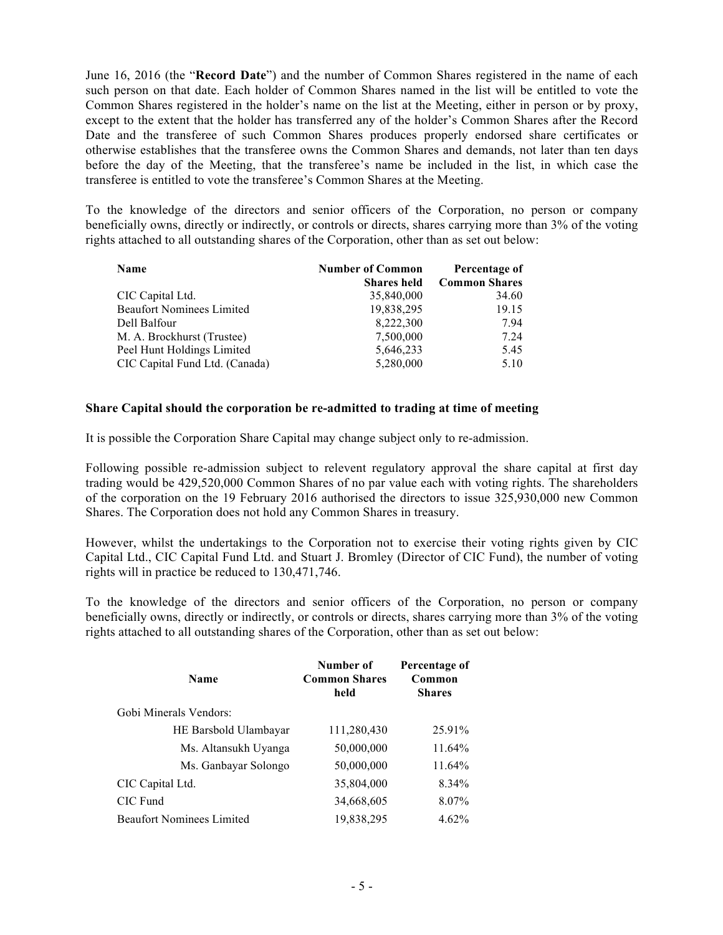June 16, 2016 (the "**Record Date**") and the number of Common Shares registered in the name of each such person on that date. Each holder of Common Shares named in the list will be entitled to vote the Common Shares registered in the holder's name on the list at the Meeting, either in person or by proxy, except to the extent that the holder has transferred any of the holder's Common Shares after the Record Date and the transferee of such Common Shares produces properly endorsed share certificates or otherwise establishes that the transferee owns the Common Shares and demands, not later than ten days before the day of the Meeting, that the transferee's name be included in the list, in which case the transferee is entitled to vote the transferee's Common Shares at the Meeting.

To the knowledge of the directors and senior officers of the Corporation, no person or company beneficially owns, directly or indirectly, or controls or directs, shares carrying more than 3% of the voting rights attached to all outstanding shares of the Corporation, other than as set out below:

| <b>Name</b>                      | <b>Number of Common</b> | Percentage of        |
|----------------------------------|-------------------------|----------------------|
|                                  | <b>Shares held</b>      | <b>Common Shares</b> |
| CIC Capital Ltd.                 | 35,840,000              | 34.60                |
| <b>Beaufort Nominees Limited</b> | 19,838,295              | 19.15                |
| Dell Balfour                     | 8,222,300               | 7.94                 |
| M. A. Brockhurst (Trustee)       | 7,500,000               | 7.24                 |
| Peel Hunt Holdings Limited       | 5,646,233               | 5.45                 |
| CIC Capital Fund Ltd. (Canada)   | 5,280,000               | 5.10                 |

#### **Share Capital should the corporation be re-admitted to trading at time of meeting**

It is possible the Corporation Share Capital may change subject only to re-admission.

Following possible re-admission subject to relevent regulatory approval the share capital at first day trading would be 429,520,000 Common Shares of no par value each with voting rights. The shareholders of the corporation on the 19 February 2016 authorised the directors to issue 325,930,000 new Common Shares. The Corporation does not hold any Common Shares in treasury.

However, whilst the undertakings to the Corporation not to exercise their voting rights given by CIC Capital Ltd., CIC Capital Fund Ltd. and Stuart J. Bromley (Director of CIC Fund), the number of voting rights will in practice be reduced to 130,471,746.

To the knowledge of the directors and senior officers of the Corporation, no person or company beneficially owns, directly or indirectly, or controls or directs, shares carrying more than 3% of the voting rights attached to all outstanding shares of the Corporation, other than as set out below:

| <b>Name</b>                      | Number of<br><b>Common Shares</b><br>held | Percentage of<br>Common<br><b>Shares</b> |
|----------------------------------|-------------------------------------------|------------------------------------------|
| Gobi Minerals Vendors:           |                                           |                                          |
| HE Barsbold Ulambayar            | 111,280,430                               | 25.91%                                   |
| Ms. Altansukh Uyanga             | 50,000,000                                | $11.64\%$                                |
| Ms. Ganbayar Solongo             | 50,000,000                                | 11.64%                                   |
| CIC Capital Ltd.                 | 35,804,000                                | 8.34%                                    |
| CIC Fund                         | 34,668,605                                | 8.07%                                    |
| <b>Beaufort Nominees Limited</b> | 19,838,295                                | 4.62%                                    |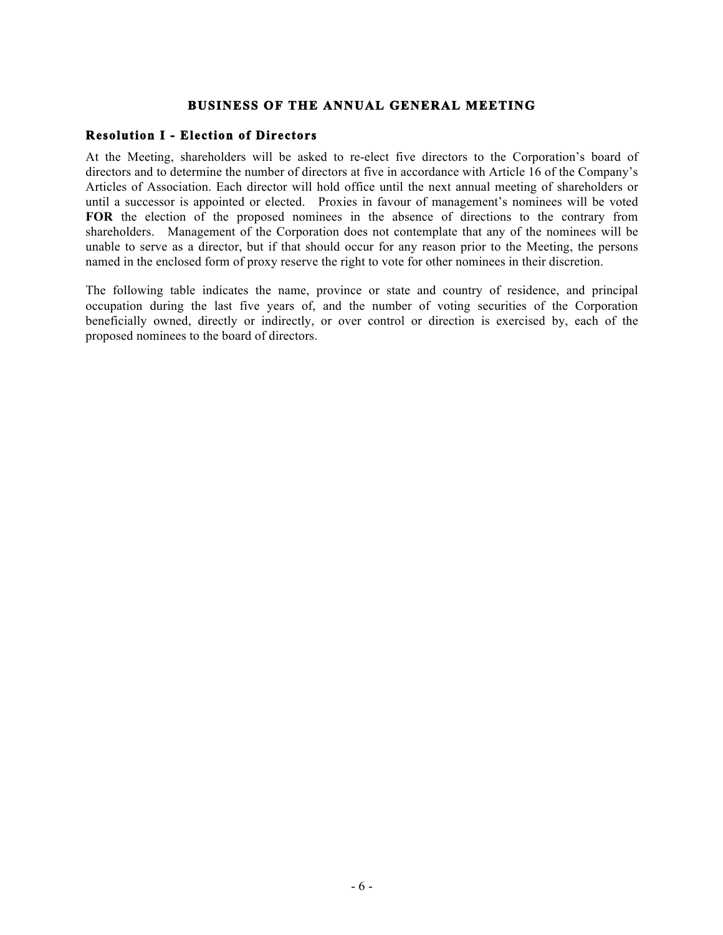## **BUSINESS OF THE ANNUAL GENERAL MEETING**

## **Resolution I - Election of Directors**

At the Meeting, shareholders will be asked to re-elect five directors to the Corporation's board of directors and to determine the number of directors at five in accordance with Article 16 of the Company's Articles of Association. Each director will hold office until the next annual meeting of shareholders or until a successor is appointed or elected. Proxies in favour of management's nominees will be voted **FOR** the election of the proposed nominees in the absence of directions to the contrary from shareholders. Management of the Corporation does not contemplate that any of the nominees will be unable to serve as a director, but if that should occur for any reason prior to the Meeting, the persons named in the enclosed form of proxy reserve the right to vote for other nominees in their discretion.

The following table indicates the name, province or state and country of residence, and principal occupation during the last five years of, and the number of voting securities of the Corporation beneficially owned, directly or indirectly, or over control or direction is exercised by, each of the proposed nominees to the board of directors.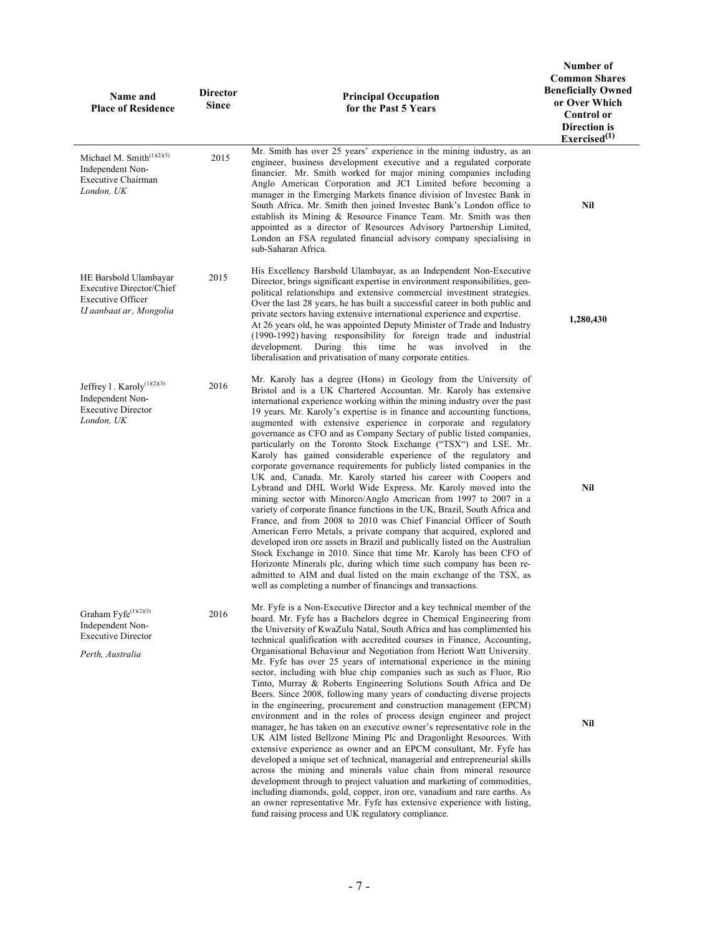| Name and<br><b>Place of Residence</b>                                                                          | <b>Director</b><br><b>Since</b> | <b>Principal Occupation</b><br>for the Past 5 Years                                                                                                                                                                                                                                                                                                                                                                                                                                                                                                                                                                                                                                                                                                                                                                                                                                                                                                                                                                                                                                                                                                                                                                                                                                                                                                                                                                                                                                       | Number of<br><b>Common Shares</b><br><b>Beneficially Owned</b><br>or Over Which<br><b>Control</b> or<br>Direction is<br>Exercised <sup>(1)</sup> |
|----------------------------------------------------------------------------------------------------------------|---------------------------------|-------------------------------------------------------------------------------------------------------------------------------------------------------------------------------------------------------------------------------------------------------------------------------------------------------------------------------------------------------------------------------------------------------------------------------------------------------------------------------------------------------------------------------------------------------------------------------------------------------------------------------------------------------------------------------------------------------------------------------------------------------------------------------------------------------------------------------------------------------------------------------------------------------------------------------------------------------------------------------------------------------------------------------------------------------------------------------------------------------------------------------------------------------------------------------------------------------------------------------------------------------------------------------------------------------------------------------------------------------------------------------------------------------------------------------------------------------------------------------------------|--------------------------------------------------------------------------------------------------------------------------------------------------|
| Michael M. Smith $(1)(2)(3)$<br>Independent Non-<br><b>Executive Chairman</b><br>London, UK                    | 2015                            | Mr. Smith has over 25 years' experience in the mining industry, as an<br>engineer, business development executive and a regulated corporate<br>financier. Mr. Smith worked for major mining companies including<br>Anglo American Corporation and JCI Limited before becoming a<br>manager in the Emerging Markets finance division of Investec Bank in<br>South Africa. Mr. Smith then joined Investec Bank's London office to<br>establish its Mining & Resource Finance Team. Mr. Smith was then<br>appointed as a director of Resources Advisory Partnership Limited,<br>London an FSA regulated financial advisory company specialising in<br>sub-Saharan Africa.                                                                                                                                                                                                                                                                                                                                                                                                                                                                                                                                                                                                                                                                                                                                                                                                                    | Nil                                                                                                                                              |
| HE Barsbold Ulambayar<br><b>Executive Director/Chief</b><br><b>Executive Officer</b><br>U aanbaat ar, Mongolia | 2015                            | His Excellency Barsbold Ulambayar, as an Independent Non-Executive<br>Director, brings significant expertise in environment responsibilities, geo-<br>political relationships and extensive commercial investment strategies.<br>Over the last 28 years, he has built a successful career in both public and<br>private sectors having extensive international experience and expertise.<br>At 26 years old, he was appointed Deputy Minister of Trade and Industry<br>(1990-1992) having responsibility for foreign trade and industrial<br>development. During this time he was involved<br>in<br>the<br>liberalisation and privatisation of many corporate entities.                                                                                                                                                                                                                                                                                                                                                                                                                                                                                                                                                                                                                                                                                                                                                                                                                   | 1,280,430                                                                                                                                        |
| Jeffrey 1. Karoly <sup>(1)(2)(3)</sup><br>Independent Non-<br><b>Executive Director</b><br>London, UK          | 2016                            | Mr. Karoly has a degree (Hons) in Geology from the University of<br>Bristol and is a UK Chartered Accountan. Mr. Karoly has extensive<br>international experience working within the mining industry over the past<br>19 years. Mr. Karoly's expertise is in finance and accounting functions,<br>augmented with extensive experience in corporate and regulatory<br>governance as CFO and as Company Sectary of public listed companies,<br>particularly on the Toronto Stock Exchange ("TSX") and LSE. Mr.<br>Karoly has gained considerable experience of the regulatory and<br>corporate governance requirements for publicly listed companies in the<br>UK and, Canada. Mr. Karoly started his career with Coopers and<br>Lybrand and DHL World Wide Express. Mr. Karoly moved into the<br>mining sector with Minorco/Anglo American from 1997 to 2007 in a<br>variety of corporate finance functions in the UK, Brazil, South Africa and<br>France, and from 2008 to 2010 was Chief Financial Officer of South<br>American Ferro Metals, a private company that acquired, explored and<br>developed iron ore assets in Brazil and publically listed on the Australian<br>Stock Exchange in 2010. Since that time Mr. Karoly has been CFO of<br>Horizonte Minerals plc, during which time such company has been re-<br>admitted to AIM and dual listed on the main exchange of the TSX, as<br>well as completing a number of financings and transactions.                            | Nil                                                                                                                                              |
| Graham Fyfe <sup>(1)(2)(3)</sup><br>Independent Non-<br><b>Executive Director</b><br>Perth, Australia          | 2016                            | Mr. Fyfe is a Non-Executive Director and a key technical member of the<br>board. Mr. Fyfe has a Bachelors degree in Chemical Engineering from<br>the University of KwaZulu Natal, South Africa and has complimented his<br>technical qualification with accredited courses in Finance, Accounting,<br>Organisational Behaviour and Negotiation from Heriott Watt University.<br>Mr. Fyfe has over 25 years of international experience in the mining<br>sector, including with blue chip companies such as such as Fluor, Rio<br>Tinto, Murray & Roberts Engineering Solutions South Africa and De<br>Beers. Since 2008, following many years of conducting diverse projects<br>in the engineering, procurement and construction management (EPCM)<br>environment and in the roles of process design engineer and project<br>manager, he has taken on an executive owner's representative role in the<br>UK AIM listed Bellzone Mining Plc and Dragonlight Resources. With<br>extensive experience as owner and an EPCM consultant, Mr. Fyfe has<br>developed a unique set of technical, managerial and entrepreneurial skills<br>across the mining and minerals value chain from mineral resource<br>development through to project valuation and marketing of commodities,<br>including diamonds, gold, copper, iron ore, vanadium and rare earths. As<br>an owner representative Mr. Fyfe has extensive experience with listing,<br>fund raising process and UK regulatory compliance. | Nil                                                                                                                                              |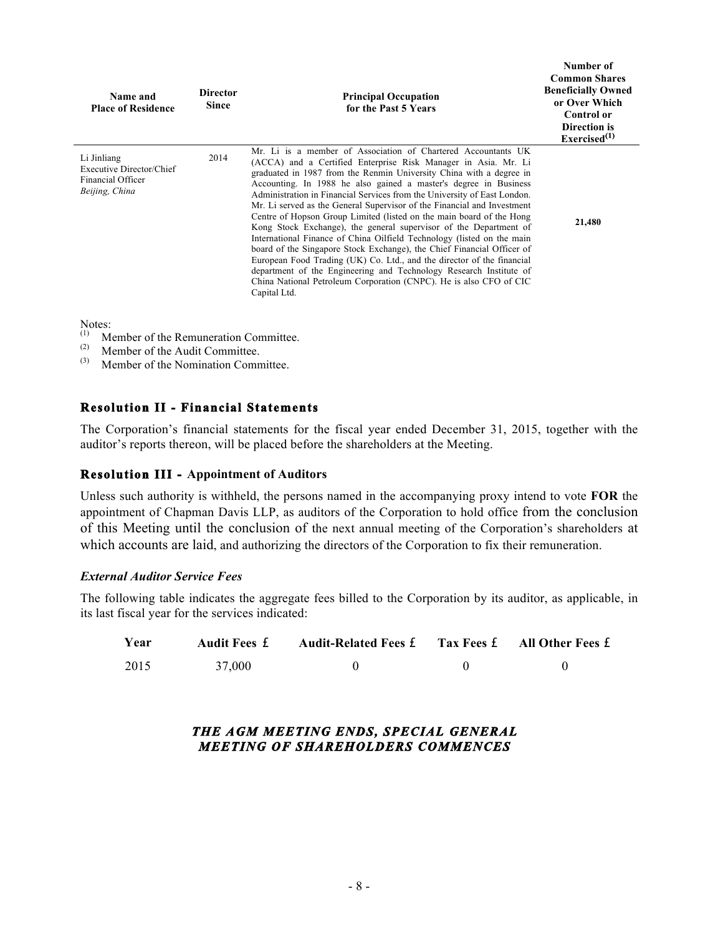| Name and<br><b>Place of Residence</b>                                                 | <b>Director</b><br><b>Since</b> | <b>Principal Occupation</b><br>for the Past 5 Years                                                                                                                                                                                                                                                                                                                                                                                                                                                                                                                                                                                                                                                                                                                                                                                                                                                                                                                      | танниег от<br><b>Common Shares</b><br><b>Beneficially Owned</b><br>or Over Which<br><b>Control or</b><br><b>Direction is</b><br>Exercised <sup>(1)</sup> |
|---------------------------------------------------------------------------------------|---------------------------------|--------------------------------------------------------------------------------------------------------------------------------------------------------------------------------------------------------------------------------------------------------------------------------------------------------------------------------------------------------------------------------------------------------------------------------------------------------------------------------------------------------------------------------------------------------------------------------------------------------------------------------------------------------------------------------------------------------------------------------------------------------------------------------------------------------------------------------------------------------------------------------------------------------------------------------------------------------------------------|----------------------------------------------------------------------------------------------------------------------------------------------------------|
| Li Jinliang<br><b>Executive Director/Chief</b><br>Financial Officer<br>Beijing, China | 2014                            | Mr. Li is a member of Association of Chartered Accountants UK<br>(ACCA) and a Certified Enterprise Risk Manager in Asia. Mr. Li<br>graduated in 1987 from the Renmin University China with a degree in<br>Accounting. In 1988 he also gained a master's degree in Business<br>Administration in Financial Services from the University of East London.<br>Mr. Li served as the General Supervisor of the Financial and Investment<br>Centre of Hopson Group Limited (listed on the main board of the Hong<br>Kong Stock Exchange), the general supervisor of the Department of<br>International Finance of China Oilfield Technology (listed on the main<br>board of the Singapore Stock Exchange), the Chief Financial Officer of<br>European Food Trading (UK) Co. Ltd., and the director of the financial<br>department of the Engineering and Technology Research Institute of<br>China National Petroleum Corporation (CNPC). He is also CFO of CIC<br>Capital Ltd. | 21,480                                                                                                                                                   |

**Number of** 

Notes:

- (1) Member of the Remuneration Committee.<br>
(2) Member of the Audit Committee.
- (2) Member of the Audit Committee.<br>(3) Member of the Nomination Comm
- (3) Member of the Nomination Committee.

## **Resolution II - Financial Statements**

The Corporation's financial statements for the fiscal year ended December 31, 2015, together with the auditor's reports thereon, will be placed before the shareholders at the Meeting.

## **Resolution III - Appointment of Auditors**

Unless such authority is withheld, the persons named in the accompanying proxy intend to vote **FOR** the appointment of Chapman Davis LLP, as auditors of the Corporation to hold office from the conclusion of this Meeting until the conclusion of the next annual meeting of the Corporation's shareholders at which accounts are laid, and authorizing the directors of the Corporation to fix their remuneration.

#### *External Auditor Service Fees*

The following table indicates the aggregate fees billed to the Corporation by its auditor, as applicable, in its last fiscal year for the services indicated:

| Year | <b>Audit Fees £</b> | <b>Audit-Related Fees £</b> | Tax Fees f All Other Fees f |
|------|---------------------|-----------------------------|-----------------------------|
| 2015 | 37,000              |                             |                             |

*THE AGM MEETING ENDS, SPECIAL GENERAL MEETING OF SHAREHOLDERS COMMENCES*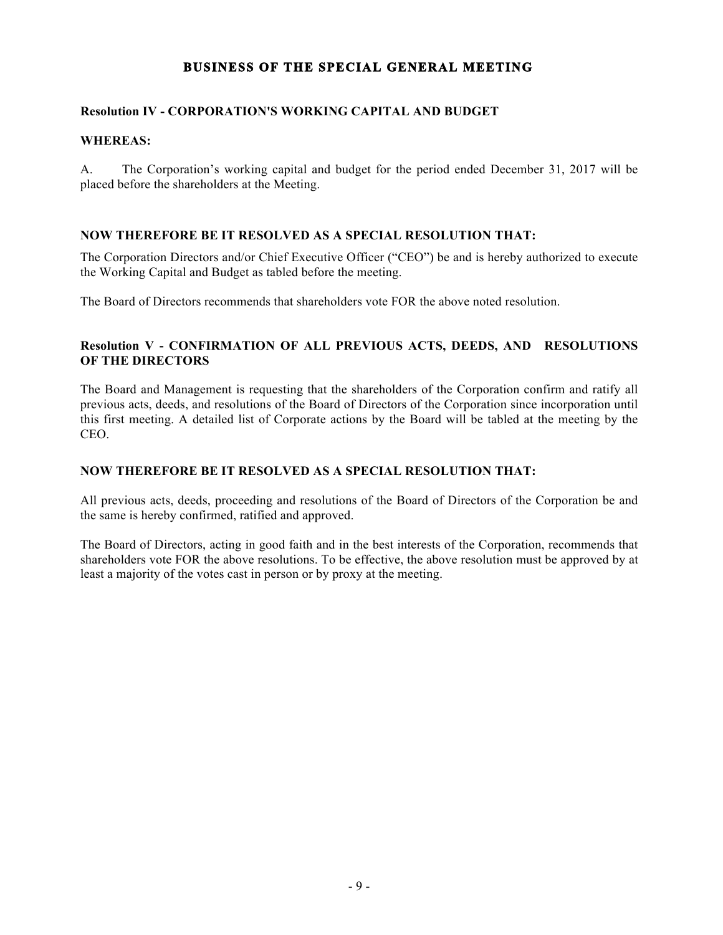# **BUSINESS OF THE SPECIAL GENERAL MEETING**

# **Resolution IV - CORPORATION'S WORKING CAPITAL AND BUDGET**

# **WHEREAS:**

A. The Corporation's working capital and budget for the period ended December 31, 2017 will be placed before the shareholders at the Meeting.

# **NOW THEREFORE BE IT RESOLVED AS A SPECIAL RESOLUTION THAT:**

The Corporation Directors and/or Chief Executive Officer ("CEO") be and is hereby authorized to execute the Working Capital and Budget as tabled before the meeting.

The Board of Directors recommends that shareholders vote FOR the above noted resolution.

## **Resolution V - CONFIRMATION OF ALL PREVIOUS ACTS, DEEDS, AND RESOLUTIONS OF THE DIRECTORS**

The Board and Management is requesting that the shareholders of the Corporation confirm and ratify all previous acts, deeds, and resolutions of the Board of Directors of the Corporation since incorporation until this first meeting. A detailed list of Corporate actions by the Board will be tabled at the meeting by the CEO.

# **NOW THEREFORE BE IT RESOLVED AS A SPECIAL RESOLUTION THAT:**

All previous acts, deeds, proceeding and resolutions of the Board of Directors of the Corporation be and the same is hereby confirmed, ratified and approved.

The Board of Directors, acting in good faith and in the best interests of the Corporation, recommends that shareholders vote FOR the above resolutions. To be effective, the above resolution must be approved by at least a majority of the votes cast in person or by proxy at the meeting.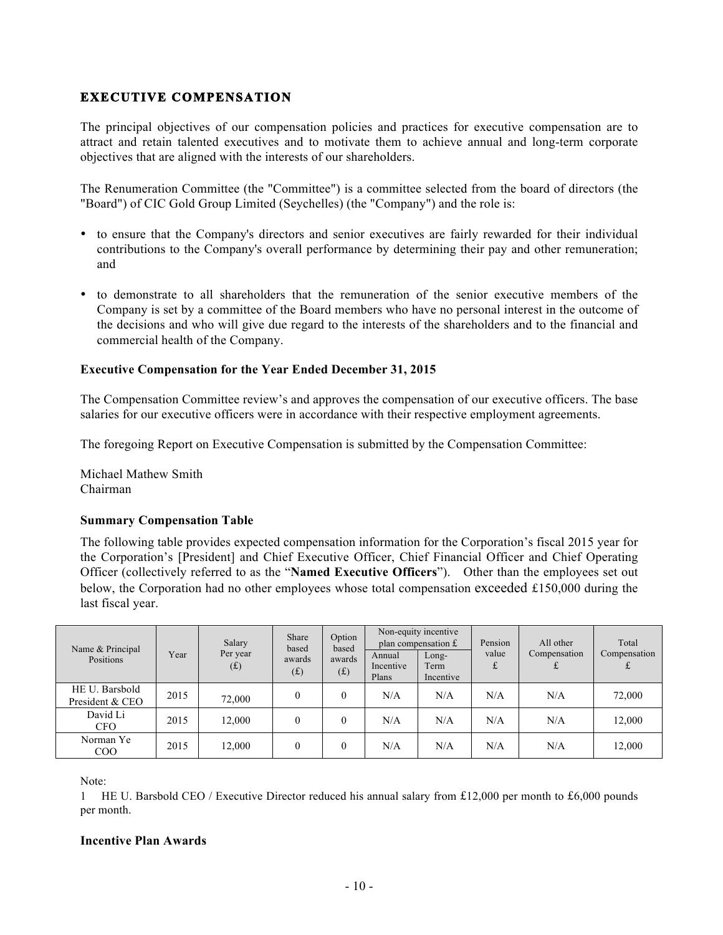# **EXECUTIVE COMPENSATION**

The principal objectives of our compensation policies and practices for executive compensation are to attract and retain talented executives and to motivate them to achieve annual and long-term corporate objectives that are aligned with the interests of our shareholders.

The Renumeration Committee (the "Committee") is a committee selected from the board of directors (the "Board") of CIC Gold Group Limited (Seychelles) (the "Company") and the role is:

- to ensure that the Company's directors and senior executives are fairly rewarded for their individual contributions to the Company's overall performance by determining their pay and other remuneration; and
- to demonstrate to all shareholders that the remuneration of the senior executive members of the Company is set by a committee of the Board members who have no personal interest in the outcome of the decisions and who will give due regard to the interests of the shareholders and to the financial and commercial health of the Company.

## **Executive Compensation for the Year Ended December 31, 2015**

The Compensation Committee review's and approves the compensation of our executive officers. The base salaries for our executive officers were in accordance with their respective employment agreements.

The foregoing Report on Executive Compensation is submitted by the Compensation Committee:

Michael Mathew Smith Chairman

## **Summary Compensation Table**

The following table provides expected compensation information for the Corporation's fiscal 2015 year for the Corporation's [President] and Chief Executive Officer, Chief Financial Officer and Chief Operating Officer (collectively referred to as the "**Named Executive Officers**"). Other than the employees set out below, the Corporation had no other employees whose total compensation exceeded £150,000 during the last fiscal year.

| Name & Principal                  |      | Salary<br>Per year | Share<br>based | Option<br>based |                              | Non-equity incentive<br>plan compensation £ | Pension<br>value | All other<br>Compensation | Total<br>Compensation |
|-----------------------------------|------|--------------------|----------------|-----------------|------------------------------|---------------------------------------------|------------------|---------------------------|-----------------------|
| Positions                         | Year | (f)                | awards<br>(f)  | awards<br>(f)   | Annual<br>Incentive<br>Plans | $Long-$<br>Term<br>Incentive                | £                |                           |                       |
| HE U. Barsbold<br>President & CEO | 2015 | 72,000             | $\theta$       | $\theta$        | N/A                          | N/A                                         | N/A              | N/A                       | 72,000                |
| David Li<br><b>CFO</b>            | 2015 | 12.000             | $\theta$       | $\theta$        | N/A                          | N/A                                         | N/A              | N/A                       | 12,000                |
| Norman Ye<br>COO                  | 2015 | 12,000             |                | $\theta$        | N/A                          | N/A                                         | N/A              | N/A                       | 12,000                |

Note:

1 HE U. Barsbold CEO / Executive Director reduced his annual salary from £12,000 per month to £6,000 pounds per month.

#### **Incentive Plan Awards**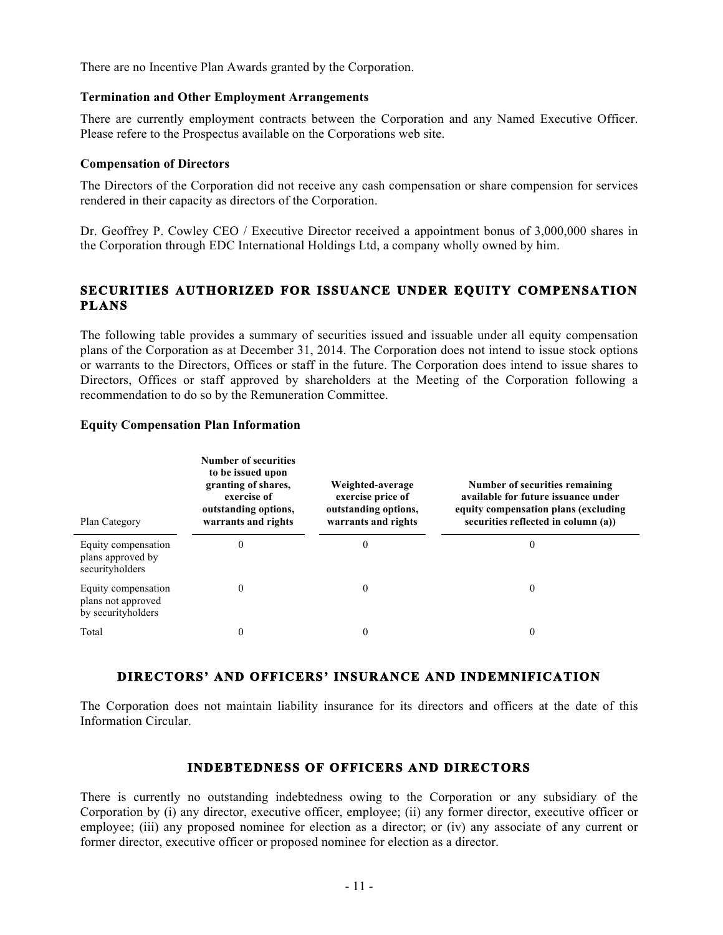There are no Incentive Plan Awards granted by the Corporation.

#### **Termination and Other Employment Arrangements**

There are currently employment contracts between the Corporation and any Named Executive Officer. Please refere to the Prospectus available on the Corporations web site.

#### **Compensation of Directors**

The Directors of the Corporation did not receive any cash compensation or share compension for services rendered in their capacity as directors of the Corporation.

Dr. Geoffrey P. Cowley CEO / Executive Director received a appointment bonus of 3,000,000 shares in the Corporation through EDC International Holdings Ltd, a company wholly owned by him.

# **SECURITIES AUTHORIZED FOR ISSUANCE UNDER EQUITY COMPENSATION PLANS**

The following table provides a summary of securities issued and issuable under all equity compensation plans of the Corporation as at December 31, 2014. The Corporation does not intend to issue stock options or warrants to the Directors, Offices or staff in the future. The Corporation does intend to issue shares to Directors, Offices or staff approved by shareholders at the Meeting of the Corporation following a recommendation to do so by the Remuneration Committee.

## **Equity Compensation Plan Information**

| Plan Category                                                   | <b>Number of securities</b><br>to be issued upon<br>granting of shares,<br>exercise of<br>outstanding options,<br>warrants and rights | Weighted-average<br>exercise price of<br>outstanding options,<br>warrants and rights | Number of securities remaining<br>available for future issuance under<br>equity compensation plans (excluding<br>securities reflected in column (a)) |
|-----------------------------------------------------------------|---------------------------------------------------------------------------------------------------------------------------------------|--------------------------------------------------------------------------------------|------------------------------------------------------------------------------------------------------------------------------------------------------|
| Equity compensation<br>plans approved by<br>securityholders     | $_{0}$                                                                                                                                | $\theta$                                                                             | $\theta$                                                                                                                                             |
| Equity compensation<br>plans not approved<br>by securityholders |                                                                                                                                       | 0                                                                                    | $\theta$                                                                                                                                             |
| Total                                                           |                                                                                                                                       | 0                                                                                    | $\theta$                                                                                                                                             |

# **DIRECTORS' AND OFFICERS' INSURANCE AND INDEMNIFICATION**

The Corporation does not maintain liability insurance for its directors and officers at the date of this Information Circular.

# **INDEBTEDNESS OF OFFICERS AND DIRECTORS**

There is currently no outstanding indebtedness owing to the Corporation or any subsidiary of the Corporation by (i) any director, executive officer, employee; (ii) any former director, executive officer or employee; (iii) any proposed nominee for election as a director; or (iv) any associate of any current or former director, executive officer or proposed nominee for election as a director.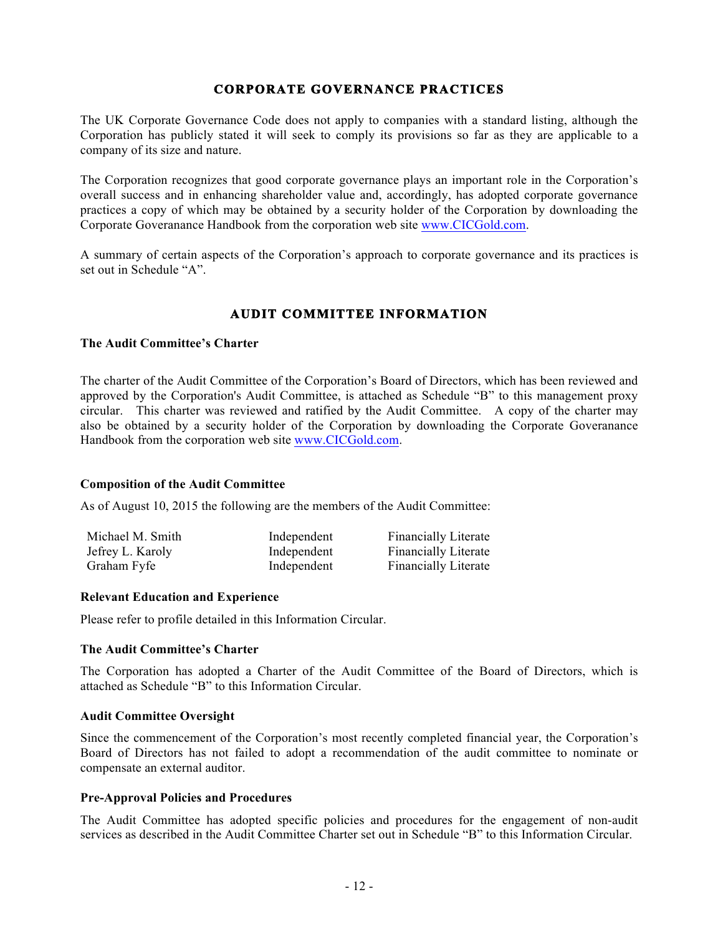# **CORPORATE GOVERNANCE PRACTICES**

The UK Corporate Governance Code does not apply to companies with a standard listing, although the Corporation has publicly stated it will seek to comply its provisions so far as they are applicable to a company of its size and nature.

The Corporation recognizes that good corporate governance plays an important role in the Corporation's overall success and in enhancing shareholder value and, accordingly, has adopted corporate governance practices a copy of which may be obtained by a security holder of the Corporation by downloading the Corporate Goveranance Handbook from the corporation web site www.CICGold.com.

A summary of certain aspects of the Corporation's approach to corporate governance and its practices is set out in Schedule "A"

# **AUDIT COMMITTEE INFORMATION**

#### **The Audit Committee's Charter**

The charter of the Audit Committee of the Corporation's Board of Directors, which has been reviewed and approved by the Corporation's Audit Committee, is attached as Schedule "B" to this management proxy circular. This charter was reviewed and ratified by the Audit Committee. A copy of the charter may also be obtained by a security holder of the Corporation by downloading the Corporate Goveranance Handbook from the corporation web site www.CICGold.com.

#### **Composition of the Audit Committee**

As of August 10, 2015 the following are the members of the Audit Committee:

| Michael M. Smith | Independent | <b>Financially Literate</b> |
|------------------|-------------|-----------------------------|
| Jefrey L. Karoly | Independent | <b>Financially Literate</b> |
| Graham Fyfe      | Independent | <b>Financially Literate</b> |

#### **Relevant Education and Experience**

Please refer to profile detailed in this Information Circular.

#### **The Audit Committee's Charter**

The Corporation has adopted a Charter of the Audit Committee of the Board of Directors, which is attached as Schedule "B" to this Information Circular.

#### **Audit Committee Oversight**

Since the commencement of the Corporation's most recently completed financial year, the Corporation's Board of Directors has not failed to adopt a recommendation of the audit committee to nominate or compensate an external auditor.

#### **Pre-Approval Policies and Procedures**

The Audit Committee has adopted specific policies and procedures for the engagement of non-audit services as described in the Audit Committee Charter set out in Schedule "B" to this Information Circular.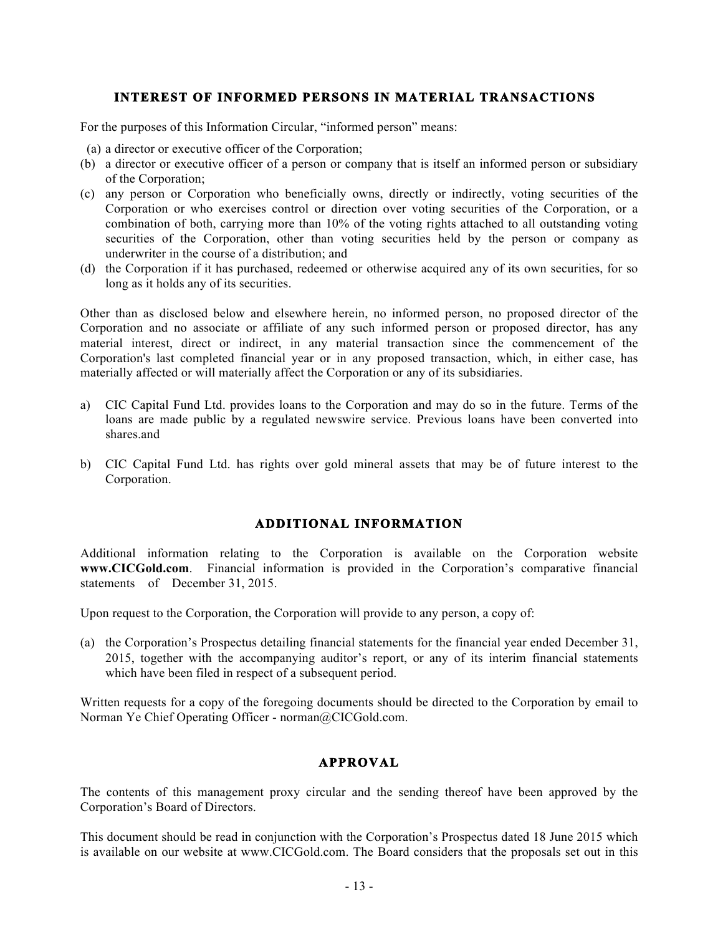# **INTEREST OF INFORMED PERSONS IN MATERIAL TRANSACTIONS**

For the purposes of this Information Circular, "informed person" means:

- (a) a director or executive officer of the Corporation;
- (b) a director or executive officer of a person or company that is itself an informed person or subsidiary of the Corporation;
- (c) any person or Corporation who beneficially owns, directly or indirectly, voting securities of the Corporation or who exercises control or direction over voting securities of the Corporation, or a combination of both, carrying more than 10% of the voting rights attached to all outstanding voting securities of the Corporation, other than voting securities held by the person or company as underwriter in the course of a distribution; and
- (d) the Corporation if it has purchased, redeemed or otherwise acquired any of its own securities, for so long as it holds any of its securities.

Other than as disclosed below and elsewhere herein, no informed person, no proposed director of the Corporation and no associate or affiliate of any such informed person or proposed director, has any material interest, direct or indirect, in any material transaction since the commencement of the Corporation's last completed financial year or in any proposed transaction, which, in either case, has materially affected or will materially affect the Corporation or any of its subsidiaries.

- a) CIC Capital Fund Ltd. provides loans to the Corporation and may do so in the future. Terms of the loans are made public by a regulated newswire service. Previous loans have been converted into shares.and
- b) CIC Capital Fund Ltd. has rights over gold mineral assets that may be of future interest to the Corporation.

# **ADDITIONAL INFORMATION**

Additional information relating to the Corporation is available on the Corporation website **www.CICGold.com**. Financial information is provided in the Corporation's comparative financial statements of December 31, 2015.

Upon request to the Corporation, the Corporation will provide to any person, a copy of:

(a) the Corporation's Prospectus detailing financial statements for the financial year ended December 31, 2015, together with the accompanying auditor's report, or any of its interim financial statements which have been filed in respect of a subsequent period.

Written requests for a copy of the foregoing documents should be directed to the Corporation by email to Norman Ye Chief Operating Officer - norman@CICGold.com.

# **APPROVAL**

The contents of this management proxy circular and the sending thereof have been approved by the Corporation's Board of Directors.

This document should be read in conjunction with the Corporation's Prospectus dated 18 June 2015 which is available on our website at www.CICGold.com. The Board considers that the proposals set out in this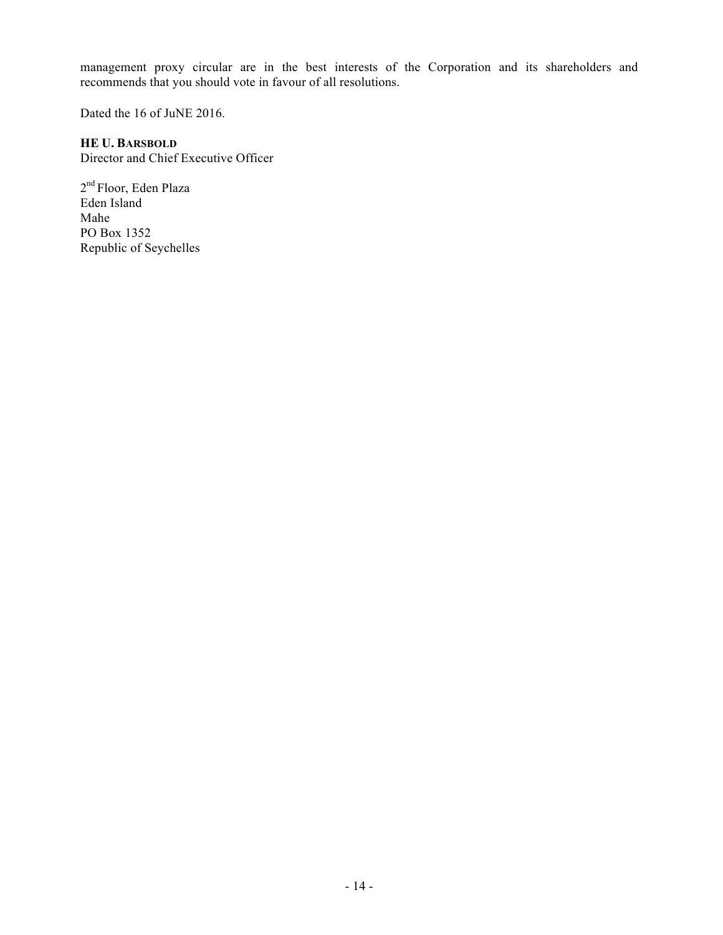management proxy circular are in the best interests of the Corporation and its shareholders and recommends that you should vote in favour of all resolutions.

Dated the 16 of JuNE 2016.

## **HE U. BARSBOLD**

Director and Chief Executive Officer

2nd Floor, Eden Plaza Eden Island Mahe PO Box 1352 Republic of Seychelles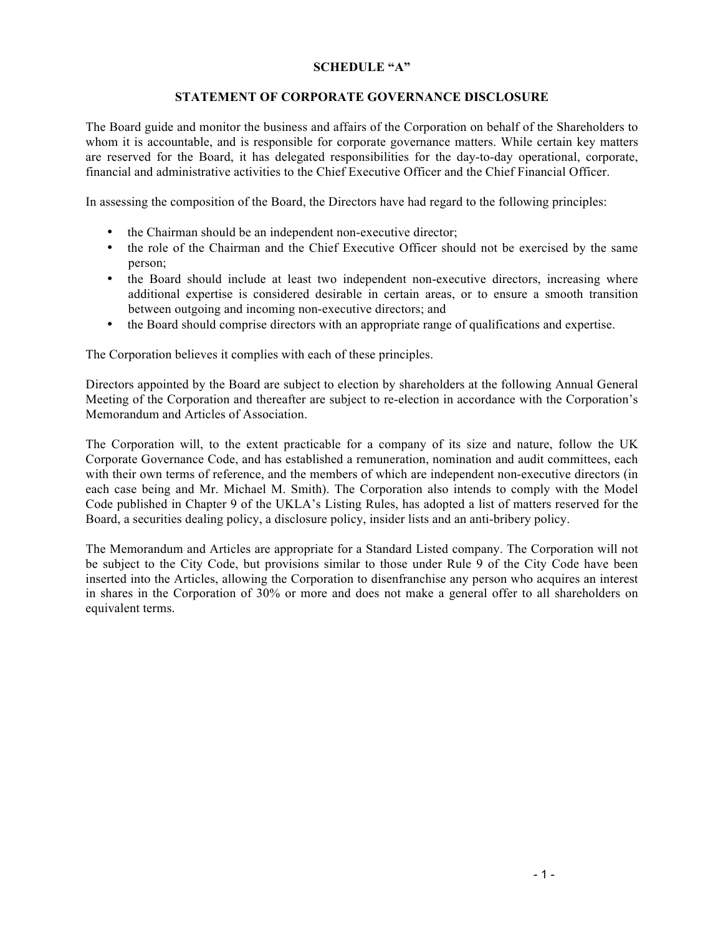## **SCHEDULE "A"**

# **STATEMENT OF CORPORATE GOVERNANCE DISCLOSURE**

The Board guide and monitor the business and affairs of the Corporation on behalf of the Shareholders to whom it is accountable, and is responsible for corporate governance matters. While certain key matters are reserved for the Board, it has delegated responsibilities for the day-to-day operational, corporate, financial and administrative activities to the Chief Executive Officer and the Chief Financial Officer.

In assessing the composition of the Board, the Directors have had regard to the following principles:

- the Chairman should be an independent non-executive director;
- the role of the Chairman and the Chief Executive Officer should not be exercised by the same person;
- the Board should include at least two independent non-executive directors, increasing where additional expertise is considered desirable in certain areas, or to ensure a smooth transition between outgoing and incoming non-executive directors; and
- the Board should comprise directors with an appropriate range of qualifications and expertise.

The Corporation believes it complies with each of these principles.

Directors appointed by the Board are subject to election by shareholders at the following Annual General Meeting of the Corporation and thereafter are subject to re-election in accordance with the Corporation's Memorandum and Articles of Association.

The Corporation will, to the extent practicable for a company of its size and nature, follow the UK Corporate Governance Code, and has established a remuneration, nomination and audit committees, each with their own terms of reference, and the members of which are independent non-executive directors (in each case being and Mr. Michael M. Smith). The Corporation also intends to comply with the Model Code published in Chapter 9 of the UKLA's Listing Rules, has adopted a list of matters reserved for the Board, a securities dealing policy, a disclosure policy, insider lists and an anti-bribery policy.

The Memorandum and Articles are appropriate for a Standard Listed company. The Corporation will not be subject to the City Code, but provisions similar to those under Rule 9 of the City Code have been inserted into the Articles, allowing the Corporation to disenfranchise any person who acquires an interest in shares in the Corporation of 30% or more and does not make a general offer to all shareholders on equivalent terms.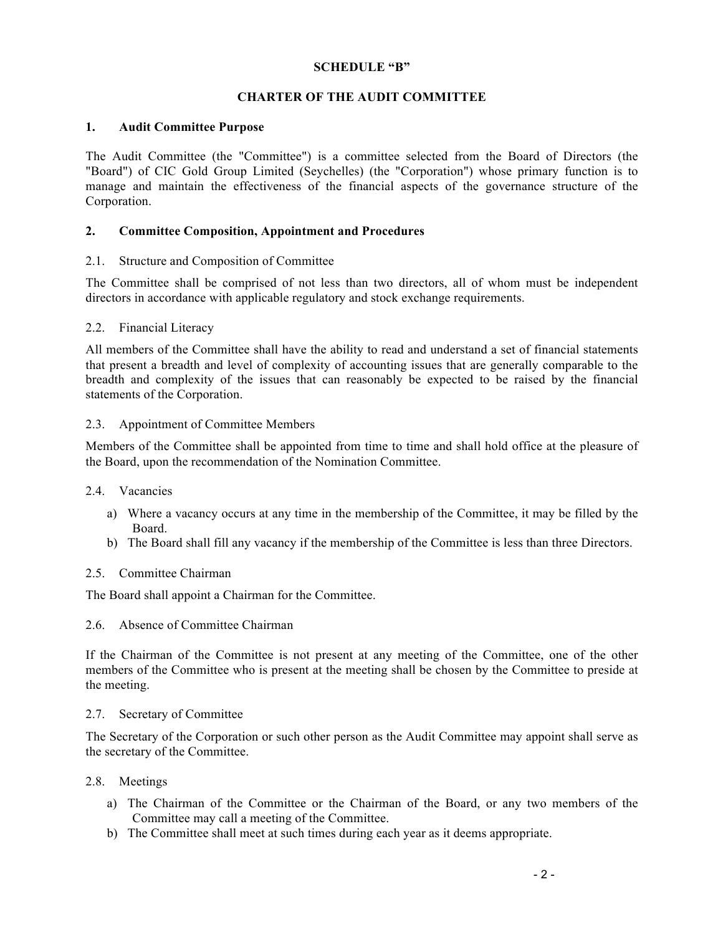## **SCHEDULE "B"**

# **CHARTER OF THE AUDIT COMMITTEE**

#### **1. Audit Committee Purpose**

The Audit Committee (the "Committee") is a committee selected from the Board of Directors (the "Board") of CIC Gold Group Limited (Seychelles) (the "Corporation") whose primary function is to manage and maintain the effectiveness of the financial aspects of the governance structure of the Corporation.

#### **2. Committee Composition, Appointment and Procedures**

#### 2.1. Structure and Composition of Committee

The Committee shall be comprised of not less than two directors, all of whom must be independent directors in accordance with applicable regulatory and stock exchange requirements.

#### 2.2. Financial Literacy

All members of the Committee shall have the ability to read and understand a set of financial statements that present a breadth and level of complexity of accounting issues that are generally comparable to the breadth and complexity of the issues that can reasonably be expected to be raised by the financial statements of the Corporation.

#### 2.3. Appointment of Committee Members

Members of the Committee shall be appointed from time to time and shall hold office at the pleasure of the Board, upon the recommendation of the Nomination Committee.

- 2.4. Vacancies
	- a) Where a vacancy occurs at any time in the membership of the Committee, it may be filled by the Board.
	- b) The Board shall fill any vacancy if the membership of the Committee is less than three Directors.

#### 2.5. Committee Chairman

The Board shall appoint a Chairman for the Committee.

2.6. Absence of Committee Chairman

If the Chairman of the Committee is not present at any meeting of the Committee, one of the other members of the Committee who is present at the meeting shall be chosen by the Committee to preside at the meeting.

#### 2.7. Secretary of Committee

The Secretary of the Corporation or such other person as the Audit Committee may appoint shall serve as the secretary of the Committee.

## 2.8. Meetings

- a) The Chairman of the Committee or the Chairman of the Board, or any two members of the Committee may call a meeting of the Committee.
- b) The Committee shall meet at such times during each year as it deems appropriate.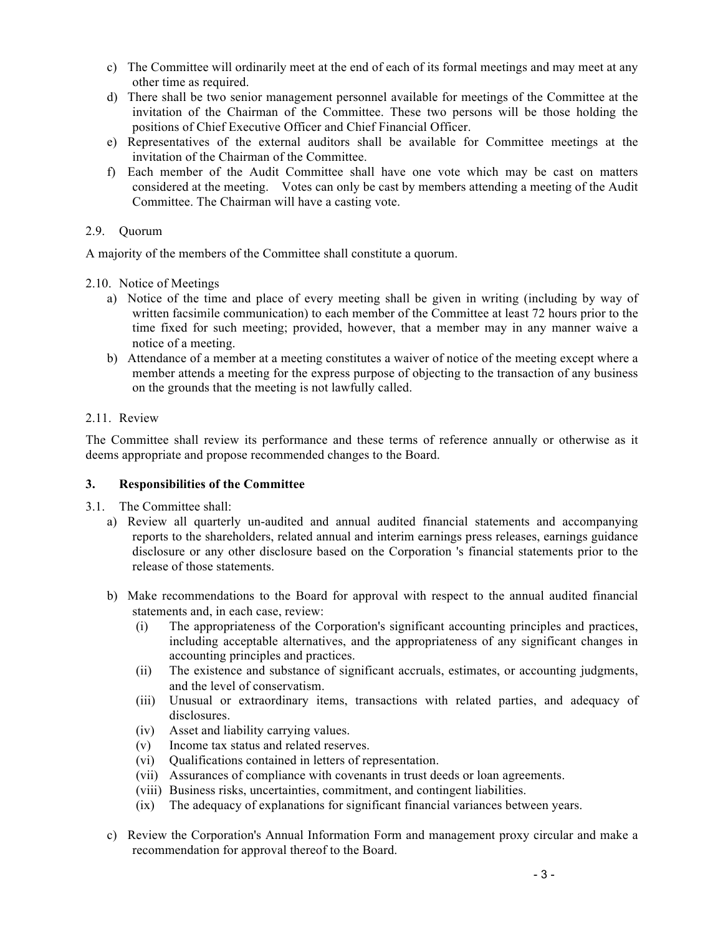- c) The Committee will ordinarily meet at the end of each of its formal meetings and may meet at any other time as required.
- d) There shall be two senior management personnel available for meetings of the Committee at the invitation of the Chairman of the Committee. These two persons will be those holding the positions of Chief Executive Officer and Chief Financial Officer.
- e) Representatives of the external auditors shall be available for Committee meetings at the invitation of the Chairman of the Committee.
- f) Each member of the Audit Committee shall have one vote which may be cast on matters considered at the meeting. Votes can only be cast by members attending a meeting of the Audit Committee. The Chairman will have a casting vote.

# 2.9. Quorum

A majority of the members of the Committee shall constitute a quorum.

2.10. Notice of Meetings

- a) Notice of the time and place of every meeting shall be given in writing (including by way of written facsimile communication) to each member of the Committee at least 72 hours prior to the time fixed for such meeting; provided, however, that a member may in any manner waive a notice of a meeting.
- b) Attendance of a member at a meeting constitutes a waiver of notice of the meeting except where a member attends a meeting for the express purpose of objecting to the transaction of any business on the grounds that the meeting is not lawfully called.

# 2.11. Review

The Committee shall review its performance and these terms of reference annually or otherwise as it deems appropriate and propose recommended changes to the Board.

## **3. Responsibilities of the Committee**

- 3.1. The Committee shall:
	- a) Review all quarterly un-audited and annual audited financial statements and accompanying reports to the shareholders, related annual and interim earnings press releases, earnings guidance disclosure or any other disclosure based on the Corporation 's financial statements prior to the release of those statements.
	- b) Make recommendations to the Board for approval with respect to the annual audited financial statements and, in each case, review:
		- (i) The appropriateness of the Corporation's significant accounting principles and practices, including acceptable alternatives, and the appropriateness of any significant changes in accounting principles and practices.
		- (ii) The existence and substance of significant accruals, estimates, or accounting judgments, and the level of conservatism.
		- (iii) Unusual or extraordinary items, transactions with related parties, and adequacy of disclosures.
		- (iv) Asset and liability carrying values.
		- (v) Income tax status and related reserves.
		- (vi) Qualifications contained in letters of representation.
		- (vii) Assurances of compliance with covenants in trust deeds or loan agreements.
		- (viii) Business risks, uncertainties, commitment, and contingent liabilities.
		- (ix) The adequacy of explanations for significant financial variances between years.
	- c) Review the Corporation's Annual Information Form and management proxy circular and make a recommendation for approval thereof to the Board.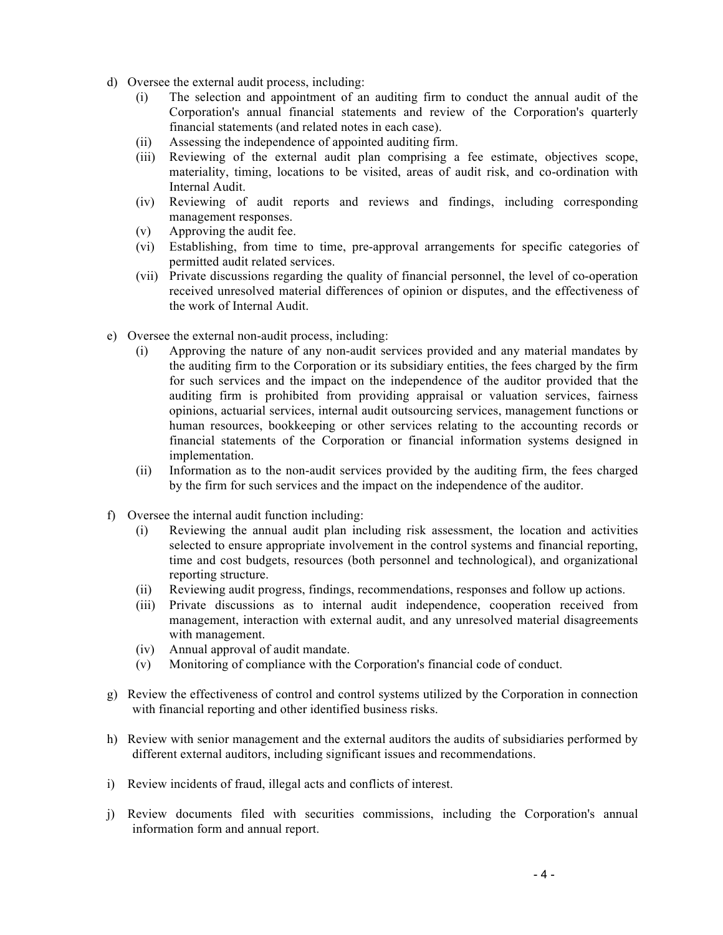- d) Oversee the external audit process, including:
	- (i) The selection and appointment of an auditing firm to conduct the annual audit of the Corporation's annual financial statements and review of the Corporation's quarterly financial statements (and related notes in each case).
	- (ii) Assessing the independence of appointed auditing firm.
	- (iii) Reviewing of the external audit plan comprising a fee estimate, objectives scope, materiality, timing, locations to be visited, areas of audit risk, and co-ordination with Internal Audit.
	- (iv) Reviewing of audit reports and reviews and findings, including corresponding management responses.
	- (v) Approving the audit fee.
	- (vi) Establishing, from time to time, pre-approval arrangements for specific categories of permitted audit related services.
	- (vii) Private discussions regarding the quality of financial personnel, the level of co-operation received unresolved material differences of opinion or disputes, and the effectiveness of the work of Internal Audit.
- e) Oversee the external non-audit process, including:
	- (i) Approving the nature of any non-audit services provided and any material mandates by the auditing firm to the Corporation or its subsidiary entities, the fees charged by the firm for such services and the impact on the independence of the auditor provided that the auditing firm is prohibited from providing appraisal or valuation services, fairness opinions, actuarial services, internal audit outsourcing services, management functions or human resources, bookkeeping or other services relating to the accounting records or financial statements of the Corporation or financial information systems designed in implementation.
	- (ii) Information as to the non-audit services provided by the auditing firm, the fees charged by the firm for such services and the impact on the independence of the auditor.
- f) Oversee the internal audit function including:
	- (i) Reviewing the annual audit plan including risk assessment, the location and activities selected to ensure appropriate involvement in the control systems and financial reporting, time and cost budgets, resources (both personnel and technological), and organizational reporting structure.
	- (ii) Reviewing audit progress, findings, recommendations, responses and follow up actions.
	- (iii) Private discussions as to internal audit independence, cooperation received from management, interaction with external audit, and any unresolved material disagreements with management.
	- (iv) Annual approval of audit mandate.
	- (v) Monitoring of compliance with the Corporation's financial code of conduct.
- g) Review the effectiveness of control and control systems utilized by the Corporation in connection with financial reporting and other identified business risks.
- h) Review with senior management and the external auditors the audits of subsidiaries performed by different external auditors, including significant issues and recommendations.
- i) Review incidents of fraud, illegal acts and conflicts of interest.
- j) Review documents filed with securities commissions, including the Corporation's annual information form and annual report.